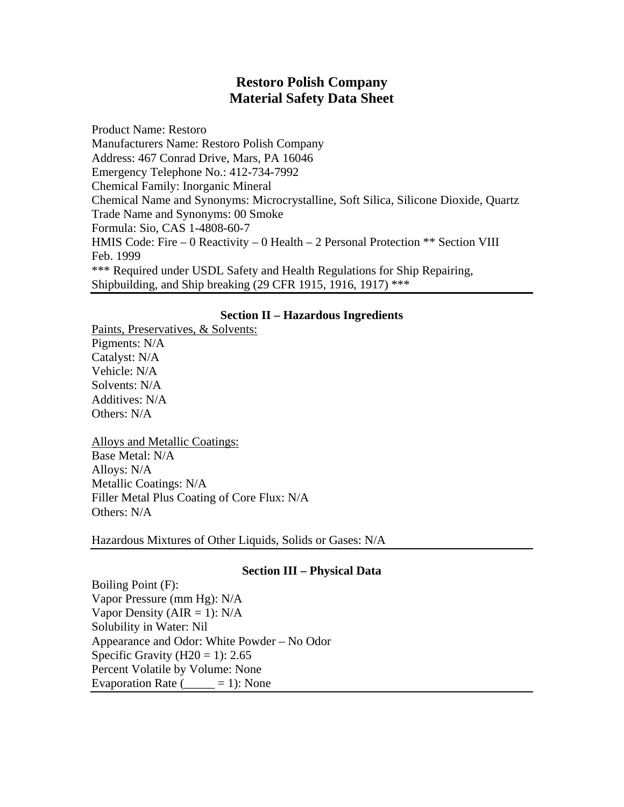# **Restoro Polish Company Material Safety Data Sheet**

Product Name: Restoro Manufacturers Name: Restoro Polish Company Address: 467 Conrad Drive, Mars, PA 16046 Emergency Telephone No.: 412-734-7992 Chemical Family: Inorganic Mineral Chemical Name and Synonyms: Microcrystalline, Soft Silica, Silicone Dioxide, Quartz Trade Name and Synonyms: 00 Smoke Formula: Sio, CAS 1-4808-60-7 HMIS Code: Fire – 0 Reactivity – 0 Health – 2 Personal Protection \*\* Section VIII Feb. 1999 \*\*\* Required under USDL Safety and Health Regulations for Ship Repairing, Shipbuilding, and Ship breaking (29 CFR 1915, 1916, 1917) \*\*\*

## **Section II – Hazardous Ingredients**

Paints, Preservatives, & Solvents: Pigments: N/A Catalyst: N/A Vehicle: N/A Solvents: N/A Additives: N/A Others: N/A

Alloys and Metallic Coatings: Base Metal: N/A Alloys: N/A Metallic Coatings: N/A Filler Metal Plus Coating of Core Flux: N/A Others: N/A

Hazardous Mixtures of Other Liquids, Solids or Gases: N/A

## **Section III – Physical Data**

Boiling Point (F): Vapor Pressure (mm Hg): N/A Vapor Density ( $AIR = 1$ ): N/A Solubility in Water: Nil Appearance and Odor: White Powder – No Odor Specific Gravity  $(H20 = 1)$ : 2.65 Percent Volatile by Volume: None Evaporation Rate  $($  = 1): None